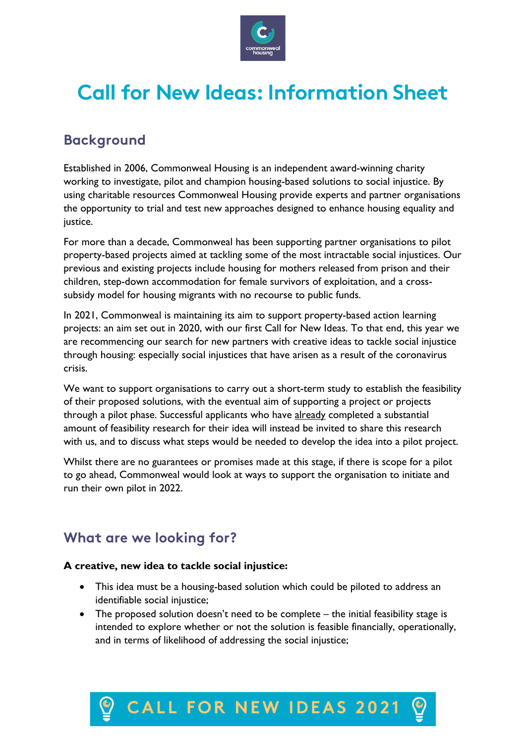

# **Call for New Ideas: Information Sheet**

# **Background**

Established in 2006, Commonweal Housing is an independent award-winning charity working to investigate, pilot and champion housing-based solutions to social injustice. By using charitable resources Commonweal Housing provide experts and partner organisations the opportunity to trial and test new approaches designed to enhance housing equality and justice.

For more than a decade, Commonweal has been supporting partner organisations to pilot property-based projects aimed at tackling some of the most intractable social injustices. Our previous and existing projects include housing for mothers released from prison and their children, step-down accommodation for female survivors of exploitation, and a crosssubsidy model for housing migrants with no recourse to public funds.

In 2021, Commonweal is maintaining its aim to support property-based action learning projects: an aim set out in 2020, with our first Call for New Ideas. To that end, this year we are recommencing our search for new partners with creative ideas to tackle social injustice through housing: especially social injustices that have arisen as a result of the coronavirus crisis.

We want to support organisations to carry out a short-term study to establish the feasibility of their proposed solutions, with the eventual aim of supporting a project or projects through a pilot phase. Successful applicants who have already completed a substantial amount of feasibility research for their idea will instead be invited to share this research with us, and to discuss what steps would be needed to develop the idea into a pilot project.

Whilst there are no guarantees or promises made at this stage, if there is scope for a pilot to go ahead, Commonweal would look at ways to support the organisation to initiate and run their own pilot in 2022.

### **What are we looking for?**

### **A creative, new idea to tackle social injustice:**

- This idea must be a housing-based solution which could be piloted to address an identifiable social injustice;
- The proposed solution doesn't need to be complete the initial feasibility stage is intended to explore whether or not the solution is feasible financially, operationally, and in terms of likelihood of addressing the social injustice;

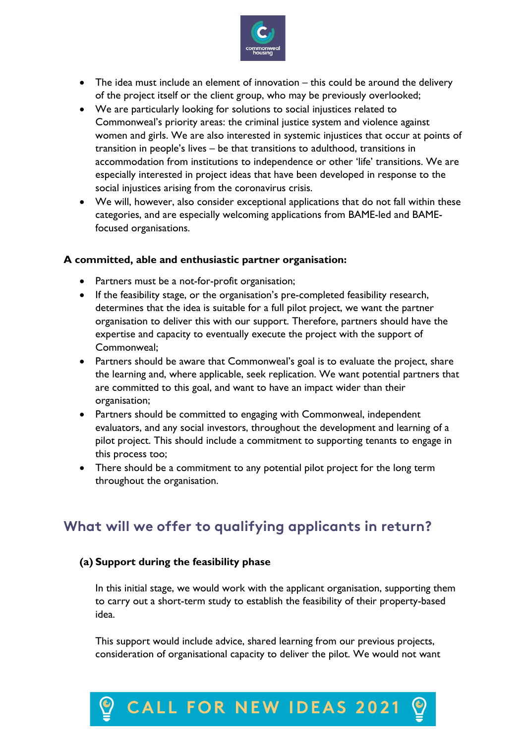

- The idea must include an element of innovation this could be around the delivery of the project itself or the client group, who may be previously overlooked;
- We are particularly looking for solutions to social injustices related to Commonweal's priority areas: the criminal justice system and violence against women and girls. We are also interested in systemic injustices that occur at points of transition in people's lives – be that transitions to adulthood, transitions in accommodation from institutions to independence or other 'life' transitions. We are especially interested in project ideas that have been developed in response to the social injustices arising from the coronavirus crisis.
- We will, however, also consider exceptional applications that do not fall within these categories, and are especially welcoming applications from BAME-led and BAMEfocused organisations.

#### **A committed, able and enthusiastic partner organisation:**

- Partners must be a not-for-profit organisation;
- If the feasibility stage, or the organisation's pre-completed feasibility research, determines that the idea is suitable for a full pilot project, we want the partner organisation to deliver this with our support. Therefore, partners should have the expertise and capacity to eventually execute the project with the support of Commonweal;
- Partners should be aware that Commonweal's goal is to evaluate the project, share the learning and, where applicable, seek replication. We want potential partners that are committed to this goal, and want to have an impact wider than their organisation;
- Partners should be committed to engaging with Commonweal, independent evaluators, and any social investors, throughout the development and learning of a pilot project. This should include a commitment to supporting tenants to engage in this process too;
- There should be a commitment to any potential pilot project for the long term throughout the organisation.

### **What will we offer to qualifying applicants in return?**

### **(a) Support during the feasibility phase**

In this initial stage, we would work with the applicant organisation, supporting them to carry out a short-term study to establish the feasibility of their property-based idea.

This support would include advice, shared learning from our previous projects, consideration of organisational capacity to deliver the pilot. We would not want

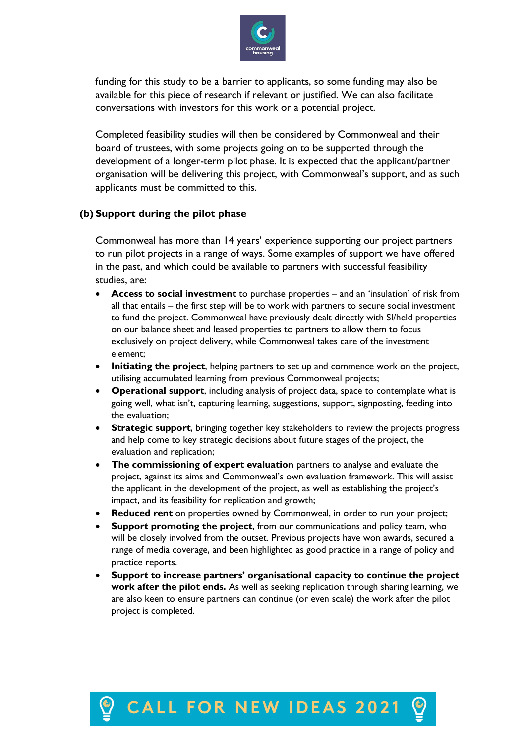

funding for this study to be a barrier to applicants, so some funding may also be available for this piece of research if relevant or justified. We can also facilitate conversations with investors for this work or a potential project.

Completed feasibility studies will then be considered by Commonweal and their board of trustees, with some projects going on to be supported through the development of a longer-term pilot phase. It is expected that the applicant/partner organisation will be delivering this project, with Commonweal's support, and as such applicants must be committed to this.

### **(b) Support during the pilot phase**

Commonweal has more than 14 years' experience supporting our project partners to run pilot projects in a range of ways. Some examples of support we have offered in the past, and which could be available to partners with successful feasibility studies, are:

- **Access to social investment** to purchase properties and an 'insulation' of risk from all that entails – the first step will be to work with partners to secure social investment to fund the project. Commonweal have previously dealt directly with SI/held properties on our balance sheet and leased properties to partners to allow them to focus exclusively on project delivery, while Commonweal takes care of the investment element;
- **Initiating the project**, helping partners to set up and commence work on the project, utilising accumulated learning from previous Commonweal projects;
- **Operational support**, including analysis of project data, space to contemplate what is going well, what isn't, capturing learning, suggestions, support, signposting, feeding into the evaluation;
- **Strategic support**, bringing together key stakeholders to review the projects progress and help come to key strategic decisions about future stages of the project, the evaluation and replication;
- **The commissioning of expert evaluation** partners to analyse and evaluate the project, against its aims and Commonweal's own evaluation framework. This will assist the applicant in the development of the project, as well as establishing the project's impact, and its feasibility for replication and growth;
- **Reduced rent** on properties owned by Commonweal, in order to run your project;
- **Support promoting the project, from our communications and policy team, who** will be closely involved from the outset. Previous projects have won awards, secured a range of media coverage, and been highlighted as good practice in a range of policy and practice reports.
- **Support to increase partners' organisational capacity to continue the project work after the pilot ends.** As well as seeking replication through sharing learning, we are also keen to ensure partners can continue (or even scale) the work after the pilot project is completed.

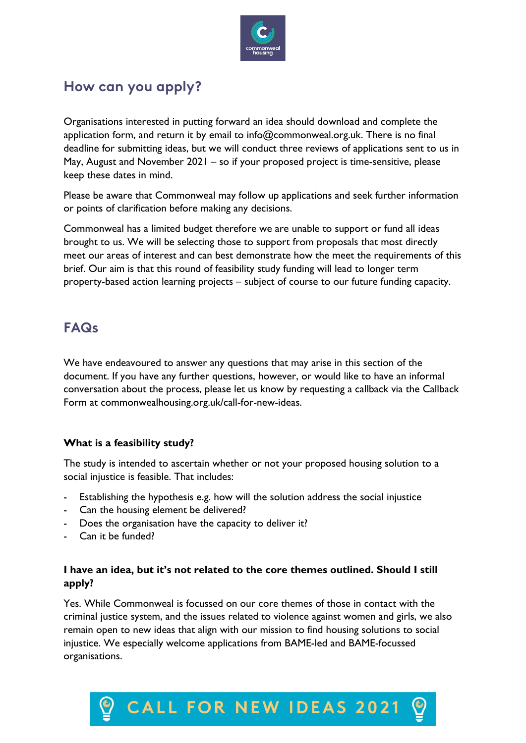

## **How can you apply?**

Organisations interested in putting forward an idea should download and complete the application form, and return it by email to info@commonweal.org.uk. There is no final deadline for submitting ideas, but we will conduct three reviews of applications sent to us in May, August and November 2021 – so if your proposed project is time-sensitive, please keep these dates in mind.

Please be aware that Commonweal may follow up applications and seek further information or points of clarification before making any decisions.

Commonweal has a limited budget therefore we are unable to support or fund all ideas brought to us. We will be selecting those to support from proposals that most directly meet our areas of interest and can best demonstrate how the meet the requirements of this brief. Our aim is that this round of feasibility study funding will lead to longer term property-based action learning projects – subject of course to our future funding capacity.

### **FAQs**

We have endeavoured to answer any questions that may arise in this section of the document. If you have any further questions, however, or would like to have an informal conversation about the process, please let us know by requesting a callback via the Callback Form at commonwealhousing.org.uk/call-for-new-ideas.

### **What is a feasibility study?**

The study is intended to ascertain whether or not your proposed housing solution to a social injustice is feasible. That includes:

- Establishing the hypothesis e.g. how will the solution address the social injustice
- Can the housing element be delivered?
- Does the organisation have the capacity to deliver it?
- Can it be funded?

### **I have an idea, but it's not related to the core themes outlined. Should I still apply?**

Yes. While Commonweal is focussed on our core themes of those in contact with the criminal justice system, and the issues related to violence against women and girls, we also remain open to new ideas that align with our mission to find housing solutions to social injustice. We especially welcome applications from BAME-led and BAME-focussed organisations.